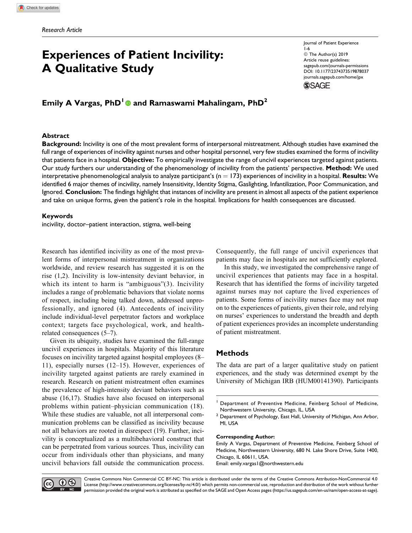# Experiences of Patient Incivility: A Qualitative Study

Emily A Vargas, PhD<sup>1</sup> and Ramaswami Mahalingam, PhD<sup>2</sup>

## Abstract

Background: Incivility is one of the most prevalent forms of interpersonal mistreatment. Although studies have examined the full range of experiences of incivility against nurses and other hospital personnel, very few studies examined the forms of incivility that patients face in a hospital. Objective: To empirically investigate the range of uncivil experiences targeted against patients. Our study furthers our understanding of the phenomenology of incivility from the patients' perspective. Method: We used interpretative phenomenological analysis to analyze participant's  $(n = 173)$  experiences of incivility in a hospital. **Results:** We identified 6 major themes of incivility, namely Insensitivity, Identity Stigma, Gaslighting, Infantilization, Poor Communication, and Ignored. Conclusion: The findings highlight that instances of incivility are present in almost all aspects of the patient experience and take on unique forms, given the patient's role in the hospital. Implications for health consequences are discussed.

#### Keywords

incivility, doctor–patient interaction, stigma, well-being

Research has identified incivility as one of the most prevalent forms of interpersonal mistreatment in organizations worldwide, and review research has suggested it is on the rise (1,2). Incivility is low-intensity deviant behavior, in which its intent to harm is "ambiguous"(3). Incivility includes a range of problematic behaviors that violate norms of respect, including being talked down, addressed unprofessionally, and ignored (4). Antecedents of incivility include individual-level perpetrator factors and workplace context; targets face psychological, work, and healthrelated consequences (5–7).

Given its ubiquity, studies have examined the full-range uncivil experiences in hospitals. Majority of this literature focuses on incivility targeted against hospital employees (8– 11), especially nurses (12–15). However, experiences of incivility targeted against patients are rarely examined in research. Research on patient mistreatment often examines the prevalence of high-intensity deviant behaviors such as abuse (16,17). Studies have also focused on interpersonal problems within patient–physician communication (18). While these studies are valuable, not all interpersonal communication problems can be classified as incivility because not all behaviors are rooted in disrespect (19). Further, incivility is conceptualized as a multibehavioral construct that can be perpetrated from various sources. Thus, incivility can occur from individuals other than physicians, and many uncivil behaviors fall outside the communication process.

Consequently, the full range of uncivil experiences that patients may face in hospitals are not sufficiently explored.

In this study, we investigated the comprehensive range of uncivil experiences that patients may face in a hospital. Research that has identified the forms of incivility targeted against nurses may not capture the lived experiences of patients. Some forms of incivility nurses face may not map on to the experiences of patients, given their role, and relying on nurses' experiences to understand the breadth and depth of patient experiences provides an incomplete understanding of patient mistreatment.

## Methods

The data are part of a larger qualitative study on patient experiences, and the study was determined exempt by the University of Michigan IRB (HUM00141390). Participants

#### Corresponding Author:

Emily A Vargas, Department of Preventive Medicine, Feinberg School of Medicine, Northwestern University, 680 N. Lake Shore Drive, Suite 1400, Chicago, IL 60611, USA. Email: [emily.vargas1@northwestern.edu](mailto:emily.vargas1@northwestern.edu)



Creative Commons Non Commercial CC BY-NC: This article is distributed under the terms of the Creative Commons Attribution-NonCommercial 4.0 License (http://www.creativecommons.org/licenses/by-nc/4.0/) which permits non-commercial use, reproduction and distribution of the work without further permission provided the original work is attributed as specified on the SAGE and Open Access pages (https://us.sagepub.com/en-us/nam/open-access-at-sage).

Journal of Patient Experience 1-6 © The Author(s) 2019 Article reuse guidelines: [sagepub.com/journals-permissions](https://sagepub.com/journals-permissions) [DOI: 10.1177/2374373519878037](https://doi.org/10.1177/2374373519878037) [journals.sagepub.com/home/jpx](http://journals.sagepub.com/home/jpx) **SSAGE** 

<sup>&</sup>lt;sup>1</sup> Department of Preventive Medicine, Feinberg School of Medicine, Northwestern University, Chicago, IL, USA

<sup>&</sup>lt;sup>2</sup> Department of Psychology, East Hall, University of Michigan, Ann Arbor, MI, USA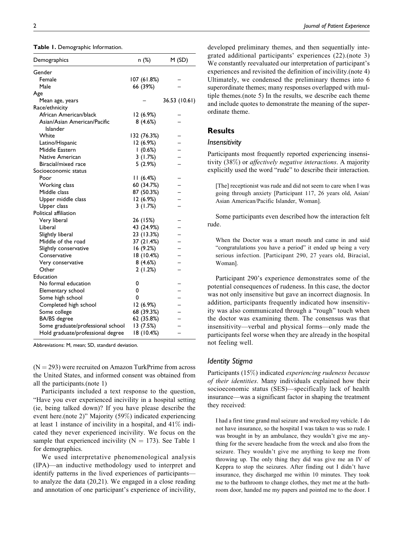Table 1. Demographic Information.

| Demographics                      | n (%)       | M (SD)        |
|-----------------------------------|-------------|---------------|
| Gender                            |             |               |
| Female                            | 107 (61.8%) |               |
| Male                              | 66 (39%)    |               |
| Age                               |             |               |
| Mean age, years                   |             | 36.53 (10.61) |
| Race/ethnicity                    |             |               |
| African American/black            | 12 (6.9%)   |               |
| Asian/Asian American/Pacific      | 8(4.6%)     |               |
| Islander                          |             |               |
| White                             | 132 (76.3%) |               |
| Latino/Hispanic                   | 12 (6.9%)   |               |
| Middle Eastern                    | (0.6%)      |               |
| Native American                   | 3(1.7%)     |               |
| Biracial/mixed race               | 5(2.9%)     |               |
| Socioeconomic status              |             |               |
| Poor                              | 11(6.4%)    |               |
| Working class                     | 60 (34.7%)  |               |
| Middle class                      | 87 (50.3%)  |               |
| Upper middle class                | 12 (6.9%)   |               |
| Upper class                       | 3(1.7%)     |               |
| Political affiliation             |             |               |
| Very liberal                      | 26 (15%)    |               |
| Liberal                           | 43 (24.9%)  |               |
| Slightly liberal                  | 23 (13.3%)  |               |
| Middle of the road                | 37 (21.4%)  |               |
| Slightly conservative             | 16 (9.2%)   |               |
| Conservative                      | 18 (10.4%)  |               |
| Very conservative                 | 8(4.6%)     |               |
| Other                             | 2(1.2%)     |               |
| Education                         |             |               |
| No formal education               | 0           |               |
| Elementary school                 | 0           |               |
| Some high school                  | 0           |               |
| Completed high school             | 12 (6.9%)   |               |
| Some college                      | 68 (39.3%)  |               |
| BA/BS degree                      | 62 (35.8%)  |               |
| Some graduate/professional school | 13 (7.5%)   |               |
| Hold graduate/professional degree | 18 (10.4%)  |               |

Abbreviations: M, mean; SD, standard deviation.

 $(N = 293)$  were recruited on Amazon TurkPrime from across the United States, and informed consent was obtained from all the participants.(note 1)

Participants included a text response to the question, "Have you ever experienced incivility in a hospital setting (ie, being talked down)? If you have please describe the event here.(note 2)" Majority (59%) indicated experiencing at least 1 instance of incivility in a hospital, and 41% indicated they never experienced incivility. We focus on the sample that experienced incivility ( $N = 173$ ). See Table 1 for demographics.

We used interpretative phenomenological analysis (IPA)—an inductive methodology used to interpret and identify patterns in the lived experiences of participants to analyze the data (20,21). We engaged in a close reading and annotation of one participant's experience of incivility,

developed preliminary themes, and then sequentially integrated additional participants' experiences (22).(note 3) We constantly reevaluated our interpretation of participant's experiences and revisited the definition of incivility.(note 4) Ultimately, we condensed the preliminary themes into 6 superordinate themes; many responses overlapped with multiple themes.(note 5) In the results, we describe each theme and include quotes to demonstrate the meaning of the superordinate theme.

## **Results**

## Insensitivity

Participants most frequently reported experiencing insensitivity (38%) or affectively negative interactions. A majority explicitly used the word "rude" to describe their interaction.

[The] receptionist was rude and did not seem to care when I was going through anxiety [Participant 117, 26 years old, Asian/ Asian American/Pacific Islander, Woman].

Some participants even described how the interaction felt rude.

When the Doctor was a smart mouth and came in and said "congratulations you have a period" it ended up being a very serious infection. [Participant 290, 27 years old, Biracial, Woman].

Participant 290's experience demonstrates some of the potential consequences of rudeness. In this case, the doctor was not only insensitive but gave an incorrect diagnosis. In addition, participants frequently indicated how insensitivity was also communicated through a "rough" touch when the doctor was examining them. The consensus was that insensitivity—verbal and physical forms—only made the participants feel worse when they are already in the hospital not feeling well.

#### Identity Stigma

Participants (15%) indicated experiencing rudeness because of their identities. Many individuals explained how their socioeconomic status (SES)—specifically lack of health insurance—was a significant factor in shaping the treatment they received:

I had a first time grand mal seizure and wrecked my vehicle. I do not have insurance, so the hospital I was taken to was so rude. I was brought in by an ambulance, they wouldn't give me anything for the severe headache from the wreck and also from the seizure. They wouldn't give me anything to keep me from throwing up. The only thing they did was give me an IV of Keppra to stop the seizures. After finding out I didn't have insurance, they discharged me within 10 minutes. They took me to the bathroom to change clothes, they met me at the bathroom door, handed me my papers and pointed me to the door. I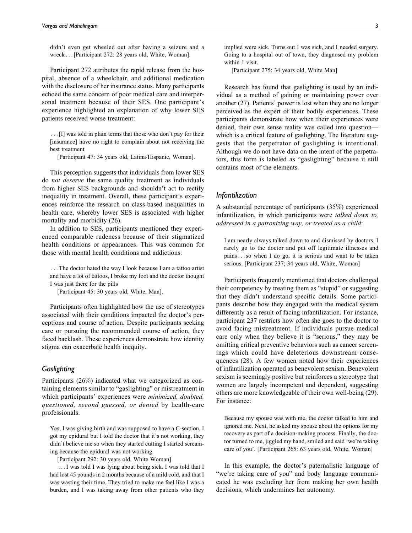didn't even get wheeled out after having a seizure and a wreck ...[Participant 272: 28 years old, White, Woman].

Participant 272 attributes the rapid release from the hospital, absence of a wheelchair, and additional medication with the disclosure of her insurance status. Many participants echoed the same concern of poor medical care and interpersonal treatment because of their SES. One participant's experience highlighted an explanation of why lower SES patients received worse treatment:

...[I] was told in plain terms that those who don't pay for their [insurance] have no right to complain about not receiving the best treatment

[Participant 47: 34 years old, Latina/Hispanic, Woman].

This perception suggests that individuals from lower SES do not deserve the same quality treatment as individuals from higher SES backgrounds and shouldn't act to rectify inequality in treatment. Overall, these participant's experiences reinforce the research on class-based inequalities in health care, whereby lower SES is associated with higher mortality and morbidity (26).

In addition to SES, participants mentioned they experienced comparable rudeness because of their stigmatized health conditions or appearances. This was common for those with mental health conditions and addictions:

... The doctor hated the way I look because I am a tattoo artist and have a lot of tattoos, I broke my foot and the doctor thought I was just there for the pills

[Participant 45: 30 years old, White, Man].

Participants often highlighted how the use of stereotypes associated with their conditions impacted the doctor's perceptions and course of action. Despite participants seeking care or pursuing the recommended course of action, they faced backlash. These experiences demonstrate how identity stigma can exacerbate health inequity.

### Gaslighting

Participants (26%) indicated what we categorized as containing elements similar to "gaslighting" or mistreatment in which participants' experiences were minimized, doubted, questioned, second guessed, or denied by health-care professionals.

Yes, I was giving birth and was supposed to have a C-section. I got my epidural but I told the doctor that it's not working, they didn't believe me so when they started cutting I started screaming because the epidural was not working.

[Participant 292: 30 years old, White Woman]

...I was told I was lying about being sick. I was told that I had lost 45 pounds in 2 months because of a mild cold, and that I was wasting their time. They tried to make me feel like I was a burden, and I was taking away from other patients who they [Participant 275: 34 years old, White Man]

Research has found that gaslighting is used by an individual as a method of gaining or maintaining power over another (27). Patients' power is lost when they are no longer perceived as the expert of their bodily experiences. These participants demonstrate how when their experiences were denied, their own sense reality was called into question which is a critical feature of gaslighting. The literature suggests that the perpetrator of gaslighting is intentional. Although we do not have data on the intent of the perpetrators, this form is labeled as "gaslighting" because it still contains most of the elements.

#### Infantilization

A substantial percentage of participants (35%) experienced infantilization, in which participants were talked down to, addressed in a patronizing way, or treated as a child:

I am nearly always talked down to and dismissed by doctors. I rarely go to the doctor and put off legitimate illnesses and pains...so when I do go, it is serious and want to be taken serious. [Participant 237; 34 years old, White, Woman]

Participants frequently mentioned that doctors challenged their competency by treating them as "stupid" or suggesting that they didn't understand specific details. Some participants describe how they engaged with the medical system differently as a result of facing infantilization. For instance, participant 237 restricts how often she goes to the doctor to avoid facing mistreatment. If individuals pursue medical care only when they believe it is "serious," they may be omitting critical preventive behaviors such as cancer screenings which could have deleterious downstream consequences (28). A few women noted how their experiences of infantilization operated as benevolent sexism. Benevolent sexism is seemingly positive but reinforces a stereotype that women are largely incompetent and dependent, suggesting others are more knowledgeable of their own well-being (29). For instance:

Because my spouse was with me, the doctor talked to him and ignored me. Next, he asked my spouse about the options for my recovery as part of a decision-making process. Finally, the doctor turned to me, jiggled my hand, smiled and said 'we're taking care of you'. [Participant 265: 63 years old, White, Woman]

In this example, the doctor's paternalistic language of "we're taking care of you" and body language communicated he was excluding her from making her own health decisions, which undermines her autonomy.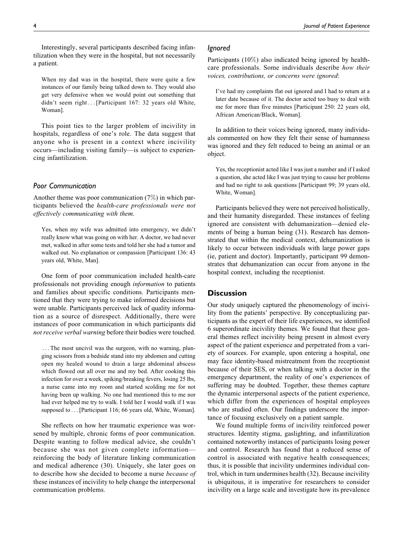Interestingly, several participants described facing infantilization when they were in the hospital, but not necessarily a patient.

When my dad was in the hospital, there were quite a few instances of our family being talked down to. They would also get very defensive when we would point out something that didn't seem right ...[Participant 167: 32 years old White, Woman].

This point ties to the larger problem of incivility in hospitals, regardless of one's role. The data suggest that anyone who is present in a context where incivility occurs—including visiting family—is subject to experiencing infantilization.

## Poor Communication

Another theme was poor communication  $(7\%)$  in which participants believed the health-care professionals were not effectively communicating with them.

Yes, when my wife was admitted into emergency, we didn't really know what was going on with her. A doctor, we had never met, walked in after some tests and told her she had a tumor and walked out. No explanation or compassion [Participant 136: 43 years old, White, Man].

One form of poor communication included health-care professionals not providing enough information to patients and families about specific conditions. Participants mentioned that they were trying to make informed decisions but were unable. Participants perceived lack of quality information as a source of disrespect. Additionally, there were instances of poor communication in which participants did not receive verbal warning before their bodies were touched.

... The most uncivil was the surgeon, with no warning, plunging scissors from a bedside stand into my abdomen and cutting open my healed wound to drain a large abdominal abscess which flowed out all over me and my bed. After cooking this infection for over a week, spiking/breaking fevers, losing 25 lbs, a nurse came into my room and started scolding me for not having been up walking. No one had mentioned this to me nor had ever helped me try to walk. I told her I would walk if I was supposed to ...[Participant 116; 66 years old, White, Woman].

She reflects on how her traumatic experience was worsened by multiple, chronic forms of poor communication. Despite wanting to follow medical advice, she couldn't because she was not given complete information reinforcing the body of literature linking communication and medical adherence (30). Uniquely, she later goes on to describe how she decided to become a nurse because of these instances of incivility to help change the interpersonal communication problems.

## Ignored

Participants (10%) also indicated being ignored by healthcare professionals. Some individuals describe how their voices, contributions, or concerns were ignored:

I've had my complaints flat out ignored and I had to return at a later date because of it. The doctor acted too busy to deal with me for more than five minutes [Participant 250: 22 years old, African American/Black, Woman].

In addition to their voices being ignored, many individuals commented on how they felt their sense of humanness was ignored and they felt reduced to being an animal or an object.

Yes, the receptionist acted like I was just a number and if I asked a question, she acted like I was just trying to cause her problems and had no right to ask questions [Participant 99; 39 years old, White, Woman].

Participants believed they were not perceived holistically, and their humanity disregarded. These instances of feeling ignored are consistent with dehumanization—denied elements of being a human being (31). Research has demonstrated that within the medical context, dehumanization is likely to occur between individuals with large power gaps (ie, patient and doctor). Importantly, participant 99 demonstrates that dehumanization can occur from anyone in the hospital context, including the receptionist.

## **Discussion**

Our study uniquely captured the phenomenology of incivility from the patients' perspective. By conceptualizing participants as the expert of their life experiences, we identified 6 superordinate incivility themes. We found that these general themes reflect incivility being present in almost every aspect of the patient experience and perpetrated from a variety of sources. For example, upon entering a hospital, one may face identity-based mistreatment from the receptionist because of their SES, or when talking with a doctor in the emergency department, the reality of one's experiences of suffering may be doubted. Together, these themes capture the dynamic interpersonal aspects of the patient experience, which differ from the experiences of hospital employees who are studied often. Our findings underscore the importance of focusing exclusively on a patient sample.

We found multiple forms of incivility reinforced power structures. Identity stigma, gaslighting, and infantilization contained noteworthy instances of participants losing power and control. Research has found that a reduced sense of control is associated with negative health consequences; thus, it is possible that incivility undermines individual control, which in turn undermines health (32). Because incivility is ubiquitous, it is imperative for researchers to consider incivility on a large scale and investigate how its prevalence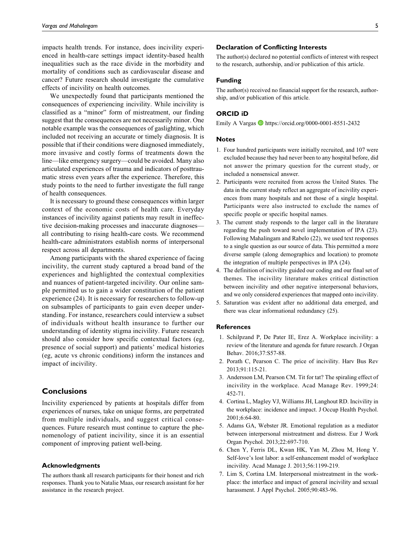impacts health trends. For instance, does incivility experienced in health-care settings impact identity-based health inequalities such as the race divide in the morbidity and mortality of conditions such as cardiovascular disease and cancer? Future research should investigate the cumulative effects of incivility on health outcomes.

We unexpectedly found that participants mentioned the consequences of experiencing incivility. While incivility is classified as a "minor" form of mistreatment, our finding suggest that the consequences are not necessarily minor. One notable example was the consequences of gaslighting, which included not receiving an accurate or timely diagnosis. It is possible that if their conditions were diagnosed immediately, more invasive and costly forms of treatments down the line—like emergency surgery—could be avoided. Many also articulated experiences of trauma and indicators of posttraumatic stress even years after the experience. Therefore, this study points to the need to further investigate the full range of health consequences.

It is necessary to ground these consequences within larger context of the economic costs of health care. Everyday instances of incivility against patients may result in ineffective decision-making processes and inaccurate diagnoses all contributing to rising health-care costs. We recommend health-care administrators establish norms of interpersonal respect across all departments.

Among participants with the shared experience of facing incivility, the current study captured a broad band of the experiences and highlighted the contextual complexities and nuances of patient-targeted incivility. Our online sample permitted us to gain a wider constitution of the patient experience (24). It is necessary for researchers to follow-up on subsamples of participants to gain even deeper understanding. For instance, researchers could interview a subset of individuals without health insurance to further our understanding of identity stigma incivility. Future research should also consider how specific contextual factors (eg, presence of social support) and patients' medical histories (eg, acute vs chronic conditions) inform the instances and impact of incivility.

## **Conclusions**

Incivility experienced by patients at hospitals differ from experiences of nurses, take on unique forms, are perpetrated from multiple individuals, and suggest critical consequences. Future research must continue to capture the phenomenology of patient incivility, since it is an essential component of improving patient well-being.

#### Acknowledgments

The authors thank all research participants for their honest and rich responses. Thank you to Natalie Maas, our research assistant for her assistance in the research project.

The author(s) declared no potential conflicts of interest with respect to the research, authorship, and/or publication of this article.

#### Funding

The author(s) received no financial support for the research, authorship, and/or publication of this article.

#### ORCID iD

Emily A Vargas **b** <https://orcid.org/0000-0001-8551-2432>

#### **Notes**

- 1. Four hundred participants were initially recruited, and 107 were excluded because they had never been to any hospital before, did not answer the primary question for the current study, or included a nonsensical answer.
- 2. Participants were recruited from across the United States. The data in the current study reflect an aggregate of incivility experiences from many hospitals and not those of a single hospital. Participants were also instructed to exclude the names of specific people or specific hospital names.
- 3. The current study responds to the larger call in the literature regarding the push toward novel implementation of IPA (23). Following Mahalingam and Rabelo (22), we used text responses to a single question as our source of data. This permitted a more diverse sample (along demographics and location) to promote the integration of multiple perspectives in IPA (24).
- 4. The definition of incivility guided our coding and our final set of themes. The incivility literature makes critical distinction between incivility and other negative interpersonal behaviors, and we only considered experiences that mapped onto incivility.
- 5. Saturation was evident after no additional data emerged, and there was clear informational redundancy (25).

#### **References**

- 1. Schilpzand P, De Pater IE, Erez A. Workplace incivility: a review of the literature and agenda for future research. J Organ Behav. 2016;37:S57-88.
- 2. Porath C, Pearson C. The price of incivility. Harv Bus Rev 2013;91:115-21.
- 3. Andersson LM, Pearson CM. Tit for tat? The spiraling effect of incivility in the workplace. Acad Manage Rev. 1999;24: 452-71.
- 4. Cortina L, Magley VJ, Williams JH, Langhout RD. Incivility in the workplace: incidence and impact. J Occup Health Psychol. 2001;6:64-80.
- 5. Adams GA, Webster JR. Emotional regulation as a mediator between interpersonal mistreatment and distress. Eur J Work Organ Psychol. 2013;22:697-710.
- 6. Chen Y, Ferris DL, Kwan HK, Yan M, Zhou M, Hong Y. Self-love's lost labor: a self-enhancement model of workplace incivility. Acad Manage J. 2013;56:1199-219.
- 7. Lim S, Cortina LM. Interpersonal mistreatment in the workplace: the interface and impact of general incivility and sexual harassment. J Appl Psychol. 2005;90:483-96.